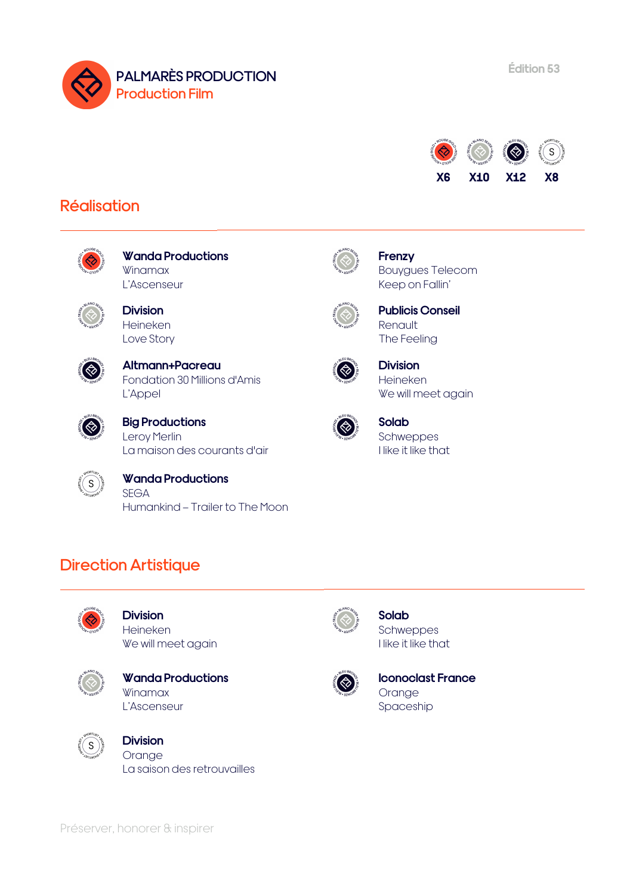





# Réalisation



**Wanda Productions** Winamax L'Ascenseur

**Division** Heineken Love Story



#### **Frenzy** Bouygues Telecom Keep on Fallin'



**Publicis Conseil** Renault The Feeling



**Division** Heineken We will meet again



**Solab**

**Schweppes** I like it like that



【◇

### **Altmann+Pacreau** Fondation 30 Millions d'Amis L'Appel



**Big Productions** Leroy Merlin La maison des courants d'air

**Wanda Productions** SEGA Humankind – Trailer to The Moon

# Direction Artistique



**Division** Heineken We will meet again



**Wanda Productions** Winamax L'Ascenseur



**Division** Orange La saison des retrouvailles



**Solab** Schweppes I like it like that



**Iconoclast France** Orange Spaceship

Préserver, honorer & inspirer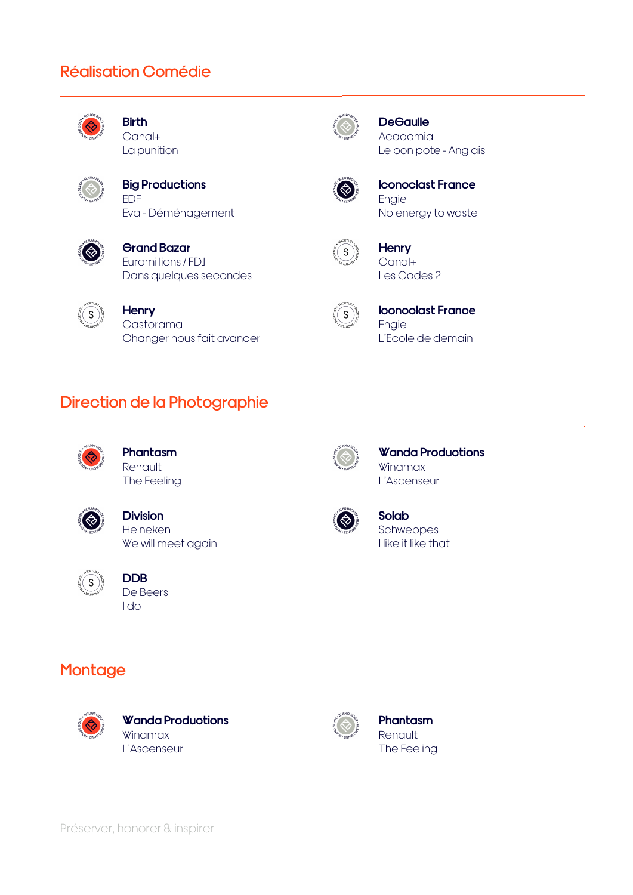### Réalisation Comédie



**Birth** Canal+ La punition



**Big Productions** EDF Eva - Déménagement



**Grand Bazar** Euromillions / FDJ Dans quelques secondes



**Henry** Castorama Changer nous fait avancer

# Direction de la Photographie



**Phantasm** Renault The Feeling



**Division** Heineken We will meet again



**DDB** De Beers I do



**Wanda Productions** Winamax L'Ascenseur



### **Solab**

Schweppes I like it like that

### **Montage**



**Wanda Productions** Winamax L'Ascenseur



**Phantasm** Renault The Feeling



**DeGaulle** Acadomia Le bon pote - Anglais



**Iconoclast France** Engie No energy to waste



**Henry** Canal+ Les Codes 2



**Iconoclast France** Engie L'Ecole de demain